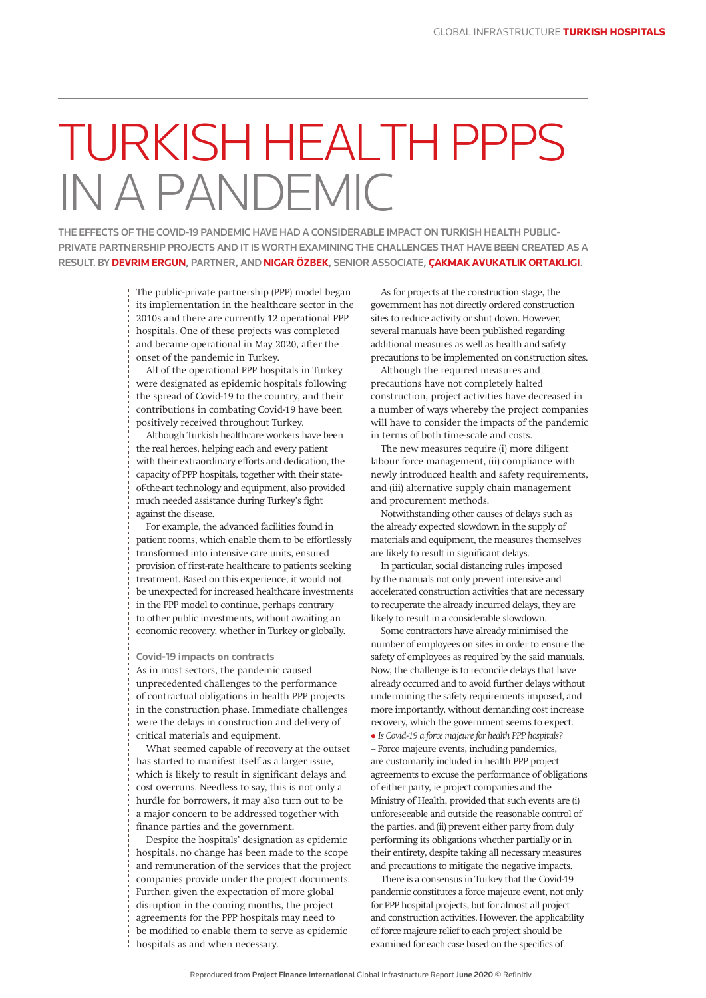## TURKISH HEALTH PPPS IN A PANDEMIC

THE EFFECTS OF THE COVID-19 PANDEMIC HAVE HAD A CONSIDERABLE IMPACT ON TURKISH HEALTH PUBLIC-PRIVATE PARTNERSHIP PROJECTS AND IT IS WORTH EXAMINING THE CHALLENGES THAT HAVE BEEN CREATED AS A RESULT. BY **DEVRIM ERGUN**, PARTNER, AND **NIGAR ÖZBEK**, SENIOR ASSOCIATE, **ÇAKMAK AVUKATLIK ORTAKLIGI**.

> The public-private partnership (PPP) model began its implementation in the healthcare sector in the 2010s and there are currently 12 operational PPP hospitals. One of these projects was completed and became operational in May 2020, after the onset of the pandemic in Turkey.

All of the operational PPP hospitals in Turkey were designated as epidemic hospitals following the spread of Covid-19 to the country, and their contributions in combating Covid-19 have been positively received throughout Turkey.

Although Turkish healthcare workers have been the real heroes, helping each and every patient with their extraordinary efforts and dedication, the capacity of PPP hospitals, together with their stateof-the-art technology and equipment, also provided much needed assistance during Turkey's fight against the disease.

For example, the advanced facilities found in patient rooms, which enable them to be effortlessly transformed into intensive care units, ensured provision of first-rate healthcare to patients seeking treatment. Based on this experience, it would not be unexpected for increased healthcare investments in the PPP model to continue, perhaps contrary to other public investments, without awaiting an economic recovery, whether in Turkey or globally.

## **Covid-19 impacts on contracts**

As in most sectors, the pandemic caused unprecedented challenges to the performance of contractual obligations in health PPP projects in the construction phase. Immediate challenges were the delays in construction and delivery of critical materials and equipment.

What seemed capable of recovery at the outset has started to manifest itself as a larger issue, which is likely to result in significant delays and cost overruns. Needless to say, this is not only a hurdle for borrowers, it may also turn out to be a major concern to be addressed together with finance parties and the government.

Despite the hospitals' designation as epidemic hospitals, no change has been made to the scope and remuneration of the services that the project companies provide under the project documents. Further, given the expectation of more global disruption in the coming months, the project agreements for the PPP hospitals may need to be modified to enable them to serve as epidemic hospitals as and when necessary.

As for projects at the construction stage, the government has not directly ordered construction sites to reduce activity or shut down. However, several manuals have been published regarding additional measures as well as health and safety precautions to be implemented on construction sites.

Although the required measures and precautions have not completely halted construction, project activities have decreased in a number of ways whereby the project companies will have to consider the impacts of the pandemic in terms of both time-scale and costs.

The new measures require (i) more diligent labour force management, (ii) compliance with newly introduced health and safety requirements, and (iii) alternative supply chain management and procurement methods.

Notwithstanding other causes of delays such as the already expected slowdown in the supply of materials and equipment, the measures themselves are likely to result in significant delays.

In particular, social distancing rules imposed by the manuals not only prevent intensive and accelerated construction activities that are necessary to recuperate the already incurred delays, they are likely to result in a considerable slowdown.

Some contractors have already minimised the number of employees on sites in order to ensure the safety of employees as required by the said manuals. Now, the challenge is to reconcile delays that have already occurred and to avoid further delays without undermining the safety requirements imposed, and more importantly, without demanding cost increase recovery, which the government seems to expect.

l *Is Covid-19 a force majeure for health PPP hospitals?*  – Force majeure events, including pandemics, are customarily included in health PPP project agreements to excuse the performance of obligations of either party, ie project companies and the Ministry of Health, provided that such events are (i) unforeseeable and outside the reasonable control of the parties, and (ii) prevent either party from duly performing its obligations whether partially or in their entirety, despite taking all necessary measures and precautions to mitigate the negative impacts.

There is a consensus in Turkey that the Covid-19 pandemic constitutes a force majeure event, not only for PPP hospital projects, but for almost all project and construction activities. However, the applicability of force majeure relief to each project should be examined for each case based on the specifics of